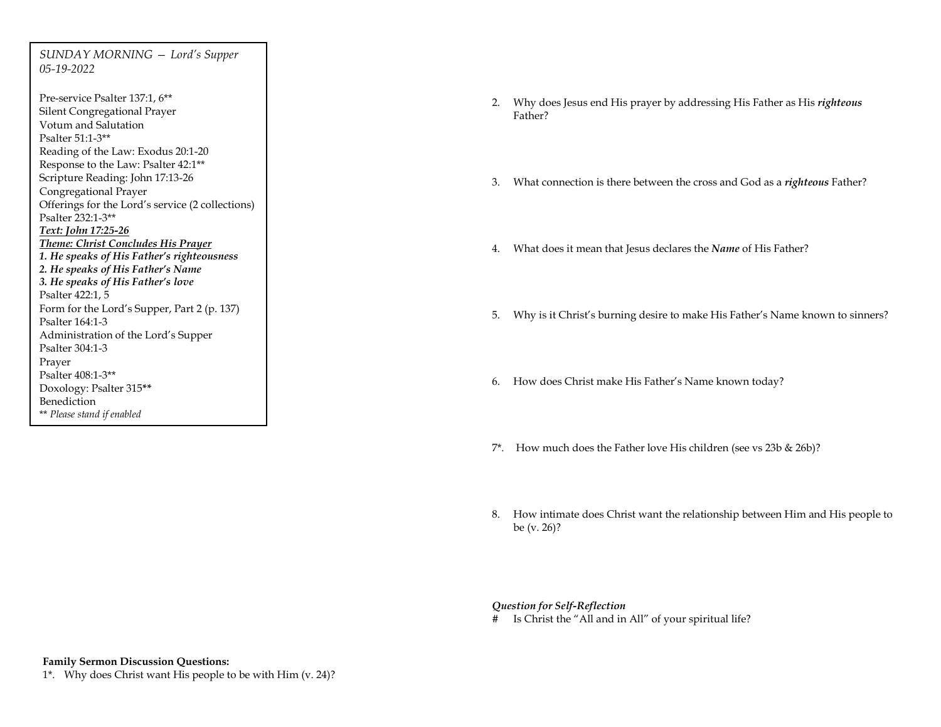*SUNDAY MORNING — Lord's Supper 05-19-2022*

Pre-service Psalter 137:1, 6\*\* Silent Congregational Prayer Votum and Salutation Psalter 51:1-3\*\* Reading of the Law: Exodus 20:1-20 Response to the Law: Psalter 42:1\*\* Scripture Reading: John 17:13-26 Congregational Prayer Offerings for the Lord's service (2 collections) Psalter 232:1-3\*\* *Text: John 17:25-26 Theme: Christ Concludes His Prayer 1. He speaks of His Father's righteousness 2. He speaks of His Father's Name 3. He speaks of His Father's love* Psalter 422:1, 5 Form for the Lord's Supper, Part 2 (p. 137) Psalter 164:1-3 Administration of the Lord's Supper Psalter 304:1-3 Prayer Psalter 408:1-3\*\* Doxology: Psalter 315**\*\*** Benediction \*\* *Please stand if enabled*

- 2. Why does Jesus end His prayer by addressing His Father as His *righteous*  Father?
- 3. What connection is there between the cross and God as a *righteous* Father?
- 4. What does it mean that Jesus declares the *Name* of His Father?
- 5. Why is it Christ's burning desire to make His Father's Name known to sinners?
- 6. How does Christ make His Father's Name known today?
- 7\*. How much does the Father love His children (see vs 23b & 26b)?
- 8. How intimate does Christ want the relationship between Him and His people to be (v. 26)?

## *Question for Self-Reflection*

# Is Christ the "All and in All" of your spiritual life?

## **Family Sermon Discussion Questions:**

1\*. Why does Christ want His people to be with Him (v. 24)?